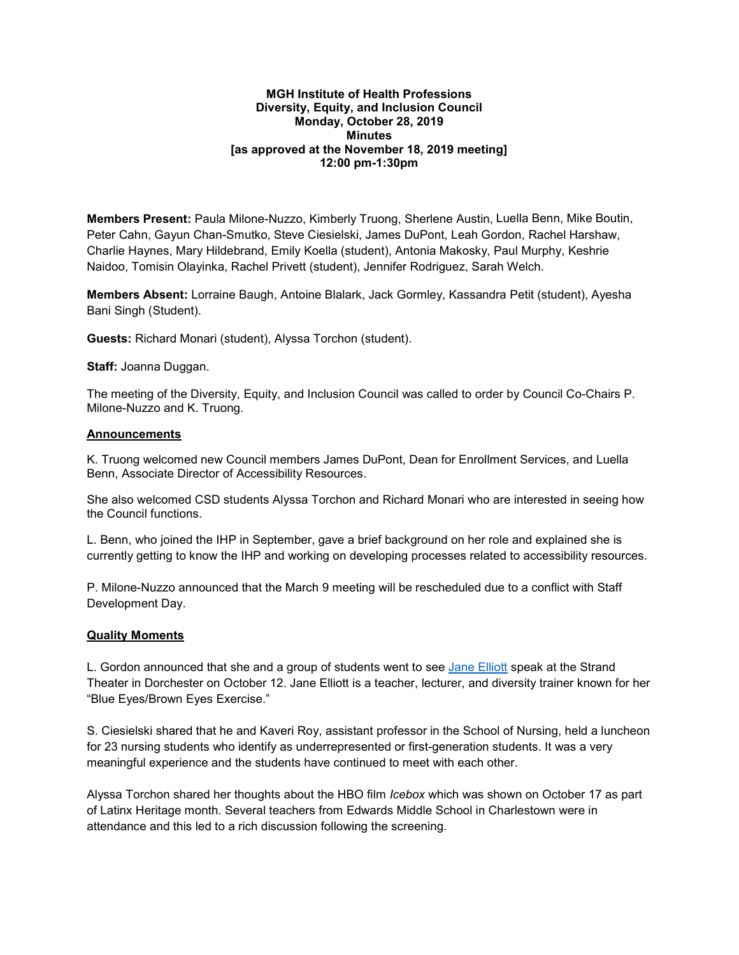### **MGH Institute of Health Professions Diversity, Equity, and Inclusion Council Monday, October 28, 2019 Minutes [as approved at the November 18, 2019 meeting] 12:00 pm-1:30pm**

**Members Present:** Paula Milone-Nuzzo, Kimberly Truong, Sherlene Austin, Luella Benn, Mike Boutin, Peter Cahn, Gayun Chan-Smutko, Steve Ciesielski, James DuPont, Leah Gordon, Rachel Harshaw, Charlie Haynes, Mary Hildebrand, Emily Koella (student), Antonia Makosky, Paul Murphy, Keshrie Naidoo, Tomisin Olayinka, Rachel Privett (student), Jennifer Rodriguez, Sarah Welch.

**Members Absent:** Lorraine Baugh, Antoine Blalark, Jack Gormley, Kassandra Petit (student), Ayesha Bani Singh (Student).

**Guests:** Richard Monari (student), Alyssa Torchon (student).

**Staff:** Joanna Duggan.

The meeting of the Diversity, Equity, and Inclusion Council was called to order by Council Co-Chairs P. Milone-Nuzzo and K. Truong.

#### **Announcements**

K. Truong welcomed new Council members James DuPont, Dean for Enrollment Services, and Luella Benn, Associate Director of Accessibility Resources.

She also welcomed CSD students Alyssa Torchon and Richard Monari who are interested in seeing how the Council functions.

L. Benn, who joined the IHP in September, gave a brief background on her role and explained she is currently getting to know the IHP and working on developing processes related to accessibility resources.

P. Milone-Nuzzo announced that the March 9 meeting will be rescheduled due to a conflict with Staff Development Day.

### **Quality Moments**

L. Gordon announced that she and a group of students went to see Jane Elliott speak at the Strand Theater in Dorchester on October 12. Jane Elliott is a teacher, lecturer, and diversity trainer known for her "Blue Eyes/Brown Eyes Exercise."

S. Ciesielski shared that he and Kaveri Roy, assistant professor in the School of Nursing, held a luncheon for 23 nursing students who identify as underrepresented or first-generation students. It was a very meaningful experience and the students have continued to meet with each other.

Alyssa Torchon shared her thoughts about the HBO film *Icebox* which was shown on October 17 as part of Latinx Heritage month. Several teachers from Edwards Middle School in Charlestown were in attendance and this led to a rich discussion following the screening.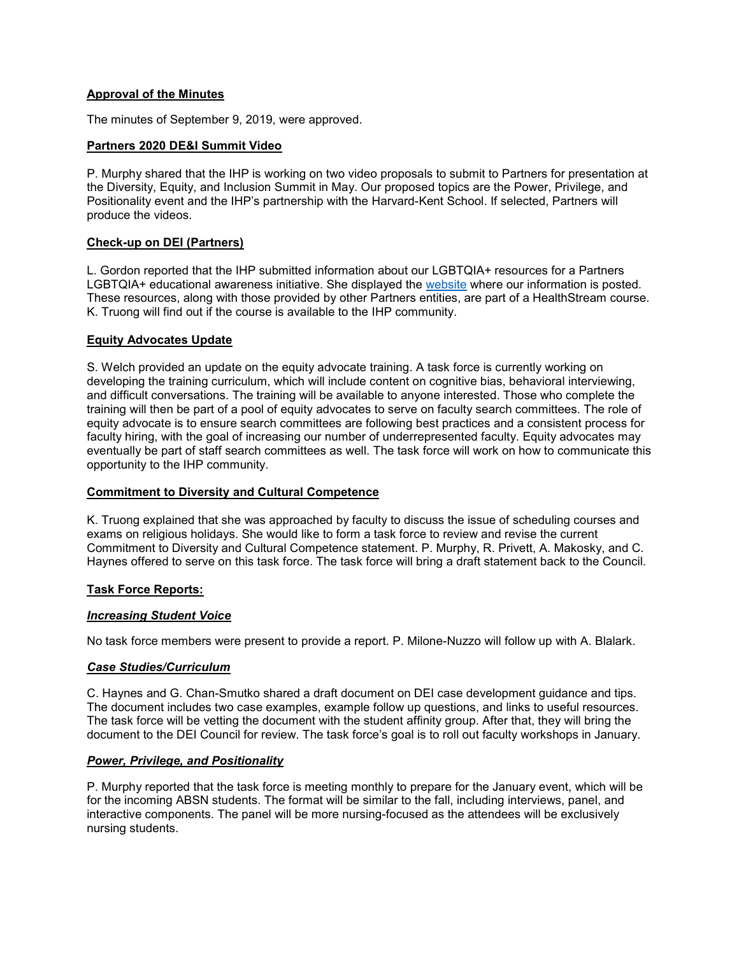# **Approval of the Minutes**

The minutes of September 9, 2019, were approved.

## **Partners 2020 DE&I Summit Video**

P. Murphy shared that the IHP is working on two video proposals to submit to Partners for presentation at the Diversity, Equity, and Inclusion Summit in May. Our proposed topics are the Power, Privilege, and Positionality event and the IHP's partnership with the Harvard-Kent School. If selected, Partners will produce the videos.

## **Check-up on DEI (Partners)**

L. Gordon reported that the IHP submitted information about our LGBTQIA+ resources for a Partners LGBTQIA+ educational awareness initiative. She displayed the [website](http://mgpotraining.massgeneral.org/phe_lgbtq_fy20/a001_body_11ee_progress_toward_inclusion.html) where our information is posted. These resources, along with those provided by other Partners entities, are part of a HealthStream course. K. Truong will find out if the course is available to the IHP community.

### **Equity Advocates Update**

S. Welch provided an update on the equity advocate training. A task force is currently working on developing the training curriculum, which will include content on cognitive bias, behavioral interviewing, and difficult conversations. The training will be available to anyone interested. Those who complete the training will then be part of a pool of equity advocates to serve on faculty search committees. The role of equity advocate is to ensure search committees are following best practices and a consistent process for faculty hiring, with the goal of increasing our number of underrepresented faculty. Equity advocates may eventually be part of staff search committees as well. The task force will work on how to communicate this opportunity to the IHP community.

### **Commitment to Diversity and Cultural Competence**

K. Truong explained that she was approached by faculty to discuss the issue of scheduling courses and exams on religious holidays. She would like to form a task force to review and revise the current Commitment to Diversity and Cultural Competence statement. P. Murphy, R. Privett, A. Makosky, and C. Haynes offered to serve on this task force. The task force will bring a draft statement back to the Council.

### **Task Force Reports:**

### *Increasing Student Voice*

No task force members were present to provide a report. P. Milone-Nuzzo will follow up with A. Blalark.

### *Case Studies/Curriculum*

C. Haynes and G. Chan-Smutko shared a draft document on DEI case development guidance and tips. The document includes two case examples, example follow up questions, and links to useful resources. The task force will be vetting the document with the student affinity group. After that, they will bring the document to the DEI Council for review. The task force's goal is to roll out faculty workshops in January.

### *Power, Privilege, and Positionality*

P. Murphy reported that the task force is meeting monthly to prepare for the January event, which will be for the incoming ABSN students. The format will be similar to the fall, including interviews, panel, and interactive components. The panel will be more nursing-focused as the attendees will be exclusively nursing students.